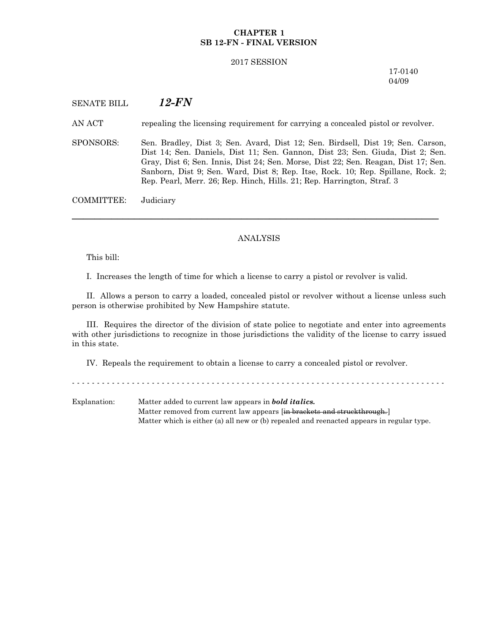## **CHAPTER 1 SB 12-FN - FINAL VERSION**

#### 2017 SESSION

17-0140 04/09

# SENATE BILL *12-FN*

AN ACT repealing the licensing requirement for carrying a concealed pistol or revolver.

SPONSORS: Sen. Bradley, Dist 3; Sen. Avard, Dist 12; Sen. Birdsell, Dist 19; Sen. Carson, Dist 14; Sen. Daniels, Dist 11; Sen. Gannon, Dist 23; Sen. Giuda, Dist 2; Sen. Gray, Dist 6; Sen. Innis, Dist 24; Sen. Morse, Dist 22; Sen. Reagan, Dist 17; Sen. Sanborn, Dist 9; Sen. Ward, Dist 8; Rep. Itse, Rock. 10; Rep. Spillane, Rock. 2; Rep. Pearl, Merr. 26; Rep. Hinch, Hills. 21; Rep. Harrington, Straf. 3

COMMITTEE: Judiciary

# ANALYSIS

─────────────────────────────────────────────────────────────────

This bill:

I. Increases the length of time for which a license to carry a pistol or revolver is valid.

II. Allows a person to carry a loaded, concealed pistol or revolver without a license unless such person is otherwise prohibited by New Hampshire statute.

III. Requires the director of the division of state police to negotiate and enter into agreements with other jurisdictions to recognize in those jurisdictions the validity of the license to carry issued in this state.

IV. Repeals the requirement to obtain a license to carry a concealed pistol or revolver.

- - - - - - - - - - - - - - - - - - - - - - - - - - - - - - - - - - - - - - - - - - - - - - - - - - - - - - - - - - - - - - - - - - - - - - - - - - -

Explanation: Matter added to current law appears in *bold italics.* Matter removed from current law appears [in brackets and struckthrough.] Matter which is either (a) all new or (b) repealed and reenacted appears in regular type.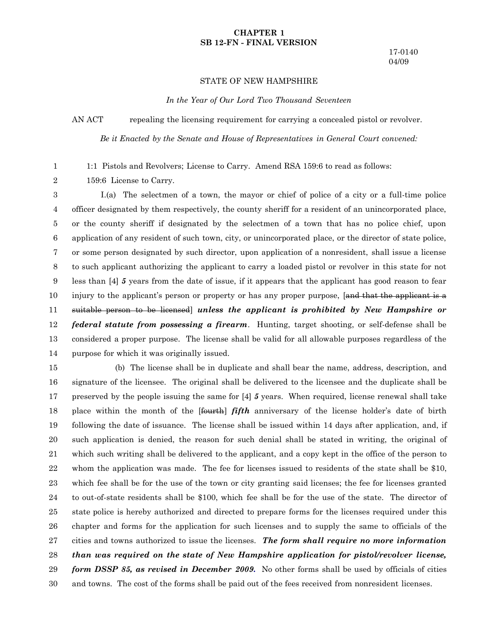## **CHAPTER 1 SB 12-FN - FINAL VERSION**

#### 17-0140 04/09

#### STATE OF NEW HAMPSHIRE

*In the Year of Our Lord Two Thousand Seventeen*

AN ACT repealing the licensing requirement for carrying a concealed pistol or revolver. *Be it Enacted by the Senate and House of Representatives in General Court convened:*

1:1 Pistols and Revolvers; License to Carry. Amend RSA 159:6 to read as follows: 1

159:6 License to Carry. 2

I.(a) The selectmen of a town, the mayor or chief of police of a city or a full-time police officer designated by them respectively, the county sheriff for a resident of an unincorporated place, or the county sheriff if designated by the selectmen of a town that has no police chief, upon application of any resident of such town, city, or unincorporated place, or the director of state police, or some person designated by such director, upon application of a nonresident, shall issue a license to such applicant authorizing the applicant to carry a loaded pistol or revolver in this state for not less than [4] *5* years from the date of issue, if it appears that the applicant has good reason to fear injury to the applicant's person or property or has any proper purpose, [and that the applicant is a suitable person to be licensed] *unless the applicant is prohibited by New Hampshire or federal statute from possessing a firearm*. Hunting, target shooting, or self-defense shall be considered a proper purpose. The license shall be valid for all allowable purposes regardless of the purpose for which it was originally issued. 3 4 5 6 7 8 9 10 11 12 13 14

(b) The license shall be in duplicate and shall bear the name, address, description, and signature of the licensee. The original shall be delivered to the licensee and the duplicate shall be preserved by the people issuing the same for [4] *5* years. When required, license renewal shall take place within the month of the [fourth] *fifth* anniversary of the license holder's date of birth following the date of issuance. The license shall be issued within 14 days after application, and, if such application is denied, the reason for such denial shall be stated in writing, the original of which such writing shall be delivered to the applicant, and a copy kept in the office of the person to whom the application was made. The fee for licenses issued to residents of the state shall be \$10, which fee shall be for the use of the town or city granting said licenses; the fee for licenses granted to out-of-state residents shall be \$100, which fee shall be for the use of the state. The director of state police is hereby authorized and directed to prepare forms for the licenses required under this chapter and forms for the application for such licenses and to supply the same to officials of the cities and towns authorized to issue the licenses. *The form shall require no more information than was required on the state of New Hampshire application for pistol/revolver license, form DSSP 85, as revised in December 2009.* No other forms shall be used by officials of cities and towns. The cost of the forms shall be paid out of the fees received from nonresident licenses. 15 16 17 18 19 20 21 22 23 24 25 26 27 28 29 30